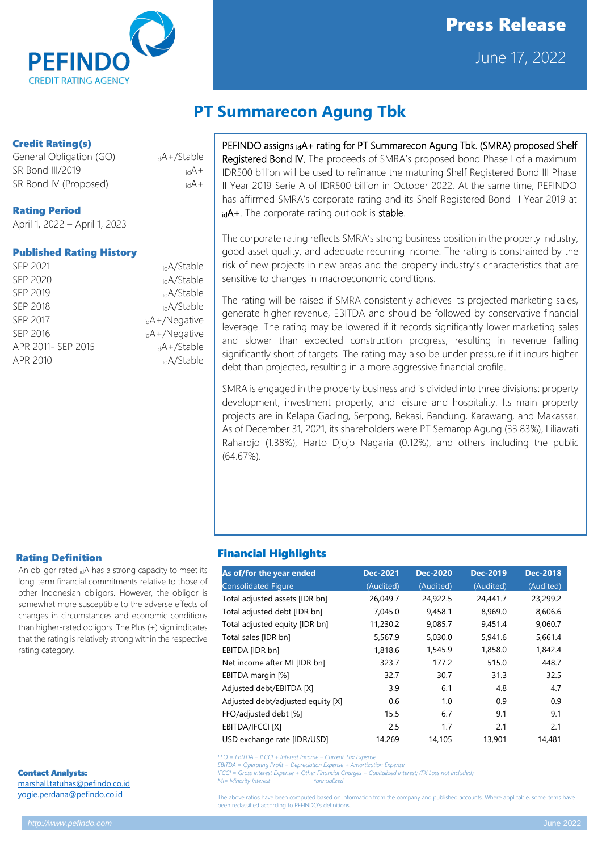

# Press Release

June 17, 2022

### Credit Rating(s)

General Obligation (GO) idA+/Stable SR Bond III/2019 **idA**+ SR Bond IV (Proposed)  $i dA +$ 

### Rating Period

April 1, 2022 – April 1, 2023

### Published Rating History

| SEP 2021           | <sub>id</sub> A/Stable |
|--------------------|------------------------|
| SEP 2020           | <sub>id</sub> A/Stable |
| SEP 2019           | <sub>id</sub> A/Stable |
| SEP 2018           | <sub>id</sub> A/Stable |
| SEP 2017           | idA+/Negative          |
| SEP 2016           | $idA+/\text{Negative}$ |
| APR 2011- SEP 2015 | $_{id}A+$ /Stable      |
| APR 2010           | <sub>id</sub> A/Stable |
|                    |                        |

## **PT Summarecon Agung Tbk**

PEFINDO assigns idA+ rating for PT Summarecon Agung Tbk. (SMRA) proposed Shelf Registered Bond IV. The proceeds of SMRA's proposed bond Phase I of a maximum IDR500 billion will be used to refinance the maturing Shelf Registered Bond III Phase II Year 2019 Serie A of IDR500 billion in October 2022. At the same time, PEFINDO has affirmed SMRA's corporate rating and its Shelf Registered Bond III Year 2019 at idA+. The corporate rating outlook is stable.

The corporate rating reflects SMRA's strong business position in the property industry, good asset quality, and adequate recurring income. The rating is constrained by the risk of new projects in new areas and the property industry's characteristics that are sensitive to changes in macroeconomic conditions.

The rating will be raised if SMRA consistently achieves its projected marketing sales, generate higher revenue, EBITDA and should be followed by conservative financial leverage. The rating may be lowered if it records significantly lower marketing sales and slower than expected construction progress, resulting in revenue falling significantly short of targets. The rating may also be under pressure if it incurs higher debt than projected, resulting in a more aggressive financial profile.

SMRA is engaged in the property business and is divided into three divisions: property development, investment property, and leisure and hospitality. Its main property projects are in Kelapa Gading, Serpong, Bekasi, Bandung, Karawang, and Makassar. As of December 31, 2021, its shareholders were PT Semarop Agung (33.83%), Liliawati Rahardjo (1.38%), Harto Djojo Nagaria (0.12%), and others including the public (64.67%).

### Rating Definition

An obligor rated idA has a strong capacity to meet its long-term financial commitments relative to those of other Indonesian obligors. However, the obligor is somewhat more susceptible to the adverse effects of changes in circumstances and economic conditions than higher-rated obligors. The Plus (+) sign indicates that the rating is relatively strong within the respective rating category.

Contact Analysts: [marshall.tatuhas@pefindo.co.id](mailto:marshall.tatuhas@pefindo.co.id) [yogie.perdana@pefindo.co.id](mailto:yogie.perdana@pefindo.co.id)

### Financial Highlights

| As of/for the year ended          | <b>Dec-2021</b> | <b>Dec-2020</b> | <b>Dec-2019</b> | <b>Dec-2018</b> |
|-----------------------------------|-----------------|-----------------|-----------------|-----------------|
| <b>Consolidated Figure</b>        | (Audited)       | (Audited)       | (Audited)       | (Audited)       |
| Total adjusted assets [IDR bn]    | 26,049.7        | 24,922.5        | 24,441.7        | 23,299.2        |
| Total adjusted debt [IDR bn]      | 7,045.0         | 9,458.1         | 8,969.0         | 8,606.6         |
| Total adjusted equity [IDR bn]    | 11,230.2        | 9,085.7         | 9,451.4         | 9,060.7         |
| Total sales [IDR bn]              | 5,567.9         | 5,030.0         | 5,941.6         | 5,661.4         |
| EBITDA [IDR bn]                   | 1,818.6         | 1,545.9         | 1,858.0         | 1,842.4         |
| Net income after MI [IDR bn]      | 323.7           | 177.2           | 515.0           | 448.7           |
| EBITDA margin [%]                 | 32.7            | 30.7            | 31.3            | 32.5            |
| Adjusted debt/EBITDA [X]          | 3.9             | 6.1             | 4.8             | 4.7             |
| Adjusted debt/adjusted equity [X] | 0.6             | 1.0             | 0.9             | 0.9             |
| FFO/adjusted debt [%]             | 15.5            | 6.7             | 9.1             | 9.1             |
| EBITDA/IFCCI [X]                  | 2.5             | 1.7             | 2.1             | 2.1             |
| USD exchange rate [IDR/USD]       | 14,269          | 14,105          | 13,901          | 14.481          |

*FFO = EBITDA – IFCCI + Interest Income – Current Tax Expense*

*EBITDA = Operating Profit + Depreciation Expense + Amortization Expense*

*IFCCI = Gross Interest Expense + Other Financial Charges + Capitalized Interest; (FX Loss not included)*

*MI= Minority Interest \*annualized* 

The above ratios have been computed based on information from the company and published accounts. Where applicable, some items have **be reclassified according to PEFINDO's definitions**